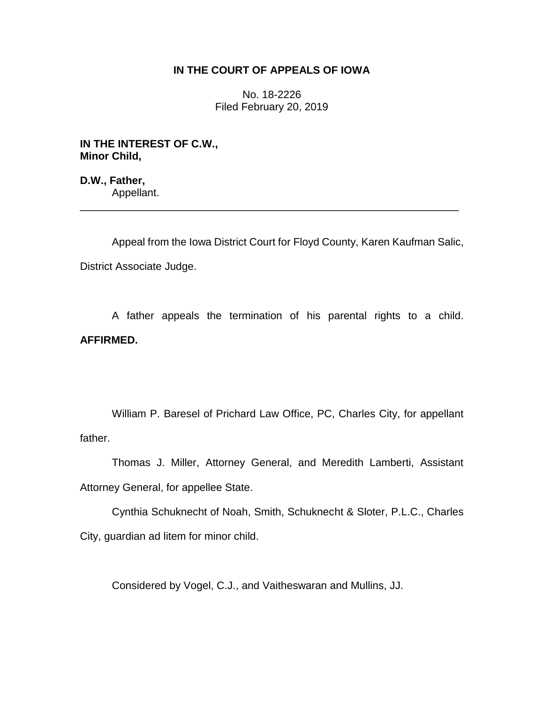## **IN THE COURT OF APPEALS OF IOWA**

No. 18-2226 Filed February 20, 2019

**IN THE INTEREST OF C.W., Minor Child,**

**D.W., Father,** Appellant.

Appeal from the Iowa District Court for Floyd County, Karen Kaufman Salic, District Associate Judge.

\_\_\_\_\_\_\_\_\_\_\_\_\_\_\_\_\_\_\_\_\_\_\_\_\_\_\_\_\_\_\_\_\_\_\_\_\_\_\_\_\_\_\_\_\_\_\_\_\_\_\_\_\_\_\_\_\_\_\_\_\_\_\_\_

A father appeals the termination of his parental rights to a child. **AFFIRMED.**

William P. Baresel of Prichard Law Office, PC, Charles City, for appellant father.

Thomas J. Miller, Attorney General, and Meredith Lamberti, Assistant Attorney General, for appellee State.

Cynthia Schuknecht of Noah, Smith, Schuknecht & Sloter, P.L.C., Charles City, guardian ad litem for minor child.

Considered by Vogel, C.J., and Vaitheswaran and Mullins, JJ.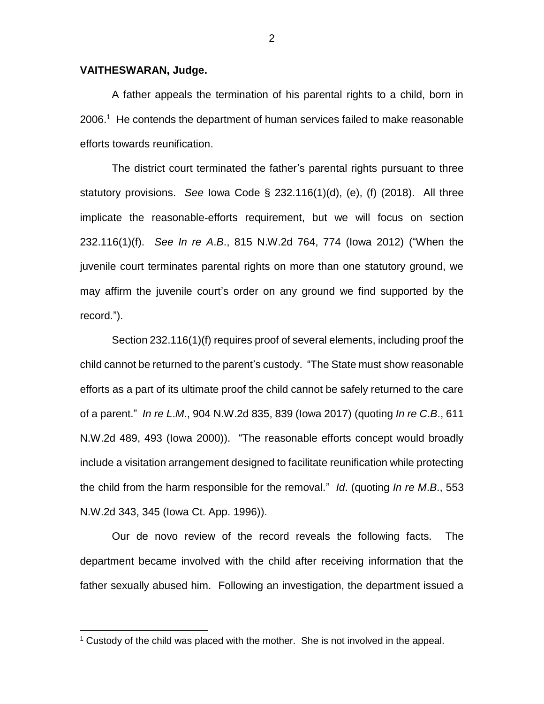## **VAITHESWARAN, Judge.**

 $\overline{a}$ 

A father appeals the termination of his parental rights to a child, born in 2006. 1 He contends the department of human services failed to make reasonable efforts towards reunification.

The district court terminated the father's parental rights pursuant to three statutory provisions. *See* Iowa Code § 232.116(1)(d), (e), (f) (2018). All three implicate the reasonable-efforts requirement, but we will focus on section 232.116(1)(f). *See In re A*.*B*., 815 N.W.2d 764, 774 (Iowa 2012) ("When the juvenile court terminates parental rights on more than one statutory ground, we may affirm the juvenile court's order on any ground we find supported by the record.").

Section 232.116(1)(f) requires proof of several elements, including proof the child cannot be returned to the parent's custody. "The State must show reasonable efforts as a part of its ultimate proof the child cannot be safely returned to the care of a parent." *In re L*.*M*., 904 N.W.2d 835, 839 (Iowa 2017) (quoting *In re C*.*B*., 611 N.W.2d 489, 493 (Iowa 2000)). "The reasonable efforts concept would broadly include a visitation arrangement designed to facilitate reunification while protecting the child from the harm responsible for the removal." *Id*. (quoting *In re M*.*B*., 553 N.W.2d 343, 345 (Iowa Ct. App. 1996)).

Our de novo review of the record reveals the following facts. The department became involved with the child after receiving information that the father sexually abused him. Following an investigation, the department issued a

 $1$  Custody of the child was placed with the mother. She is not involved in the appeal.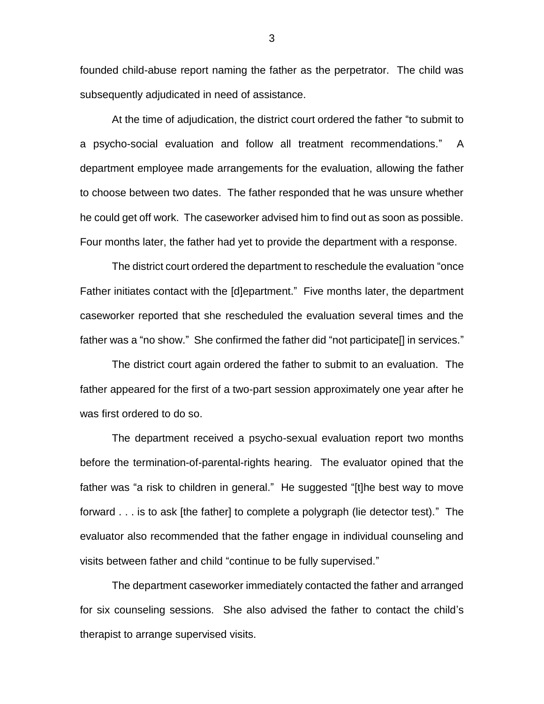founded child-abuse report naming the father as the perpetrator. The child was subsequently adjudicated in need of assistance.

At the time of adjudication, the district court ordered the father "to submit to a psycho-social evaluation and follow all treatment recommendations." A department employee made arrangements for the evaluation, allowing the father to choose between two dates. The father responded that he was unsure whether he could get off work. The caseworker advised him to find out as soon as possible. Four months later, the father had yet to provide the department with a response.

The district court ordered the department to reschedule the evaluation "once Father initiates contact with the [d]epartment." Five months later, the department caseworker reported that she rescheduled the evaluation several times and the father was a "no show." She confirmed the father did "not participate[] in services."

The district court again ordered the father to submit to an evaluation. The father appeared for the first of a two-part session approximately one year after he was first ordered to do so.

The department received a psycho-sexual evaluation report two months before the termination-of-parental-rights hearing. The evaluator opined that the father was "a risk to children in general." He suggested "[t]he best way to move forward . . . is to ask [the father] to complete a polygraph (lie detector test)." The evaluator also recommended that the father engage in individual counseling and visits between father and child "continue to be fully supervised."

The department caseworker immediately contacted the father and arranged for six counseling sessions. She also advised the father to contact the child's therapist to arrange supervised visits.

3